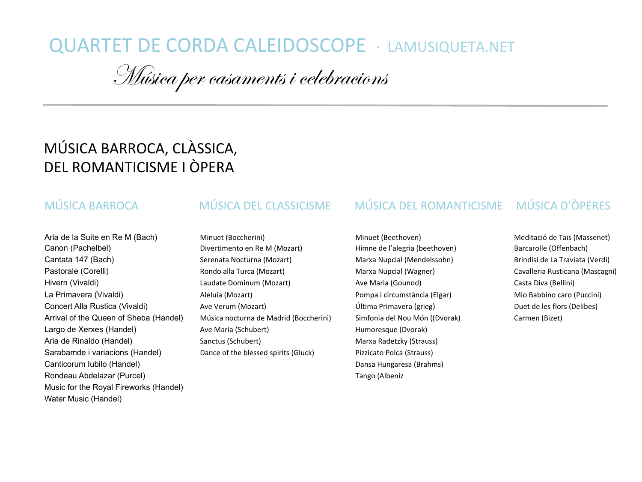# QUARTET DE CORDA CALEIDOSCOPE · LAMUSIQUETA.NET

Música per casaments i celebracions

# MÚSICA BARROCA, CLÀSSICA, DEL ROMANTICISME I ÒPFRA

### MÚSICA BARROCA

# MÚSICA DEL CLASSICISME

Aria de la Suite en Re M (Bach) Canon (Pachelbel) Cantata 147 (Bach) Pastorale (Corelli) Hivern (Vivaldi) La Primavera (Vivaldi) Concert Alla Rustica (Vivaldi) Arrival of the Queen of Sheba (Handel) Largo de Xerxes (Handel) Aria de Rinaldo (Handel) Sarabamde i variacions (Handel) Canticorum Iubilo (Handel) Rondeau Abdelazar (Purcel) Music for the Royal Fireworks (Handel) Water Music (Handel)

#### Minuet (Boccherini) Divertimento en Re M (Mozart) Serenata Nocturna (Mozart) Rondo alla Turca (Mozart) Laudate Dominum (Mozart) Aleluia (Mozart) Ave Verum (Mozart) Música nocturna de Madrid (Boccherini) Ave Maria (Schubert) Sanctus (Schubert) Dance of the blessed spirits (Gluck)

#### MÚSICA DEL ROMANTICISME MÚSICA D'ÒPERES

Minuet (Beethoven) Himne de l'alegria (beethoven) Marxa Nupcial (Mendelssohn) Marxa Nupcial (Wagner) Ave Maria (Gounod) Pompa i circumstància (Elgar) Última Primavera (grieg) Simfonia del Nou Món ((Dvorak) Humoresque (Dvorak) Marxa Radetzky (Strauss) Pizzicato Polca (Strauss) Dansa Hungaresa (Brahms) Tango (Albeniz 

Meditació de Taïs (Massenet) Barcarolle (Offenbach) Brindisi de La Traviata (Verdi) Cavalleria Rusticana (Mascagni) Casta Diva (Bellini) Mio Babbino caro (Puccini) Duet de les flors (Delibes) Carmen (Bizet)